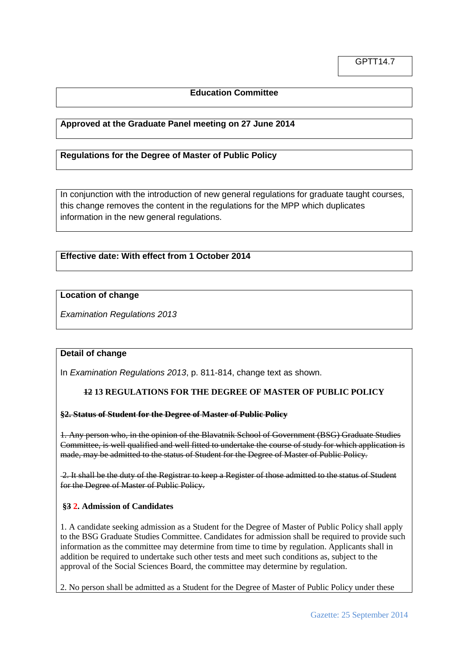## **Education Committee**

### **Approved at the Graduate Panel meeting on 27 June 2014**

### **Regulations for the Degree of Master of Public Policy**

In conjunction with the introduction of new general regulations for graduate taught courses, this change removes the content in the regulations for the MPP which duplicates information in the new general regulations.

# **Effective date: With effect from 1 October 2014**

#### **Location of change**

*Examination Regulations 2013*

## **Detail of change**

In *Examination Regulations 2013*, p. 811-814, change text as shown.

#### **12 13 REGULATIONS FOR THE DEGREE OF MASTER OF PUBLIC POLICY**

#### **§2. Status of Student for the Degree of Master of Public Policy**

1. Any person who, in the opinion of the Blavatnik School of Government (BSG) Graduate Studies Committee, is well qualified and well fitted to undertake the course of study for which application is made, may be admitted to the status of Student for the Degree of Master of Public Policy.

2. It shall be the duty of the Registrar to keep a Register of those admitted to the status of Student for the Degree of Master of Public Policy.

#### **§3 2. Admission of Candidates**

1. A candidate seeking admission as a Student for the Degree of Master of Public Policy shall apply to the BSG Graduate Studies Committee. Candidates for admission shall be required to provide such information as the committee may determine from time to time by regulation. Applicants shall in addition be required to undertake such other tests and meet such conditions as, subject to the approval of the Social Sciences Board, the committee may determine by regulation.

2. No person shall be admitted as a Student for the Degree of Master of Public Policy under these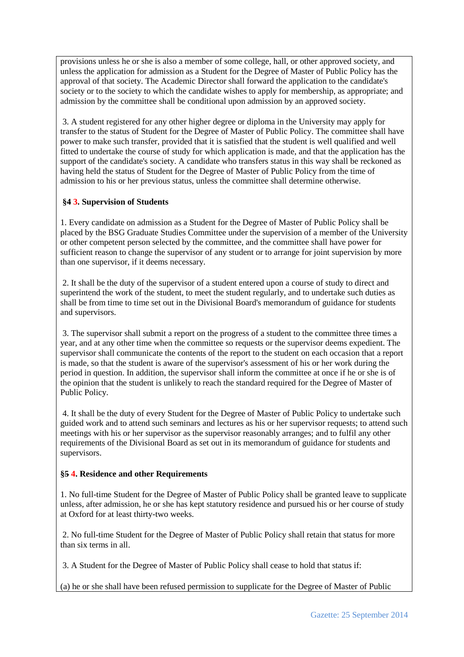provisions unless he or she is also a member of some college, hall, or other approved society, and unless the application for admission as a Student for the Degree of Master of Public Policy has the approval of that society. The Academic Director shall forward the application to the candidate's society or to the society to which the candidate wishes to apply for membership, as appropriate; and admission by the committee shall be conditional upon admission by an approved society.

3. A student registered for any other higher degree or diploma in the University may apply for transfer to the status of Student for the Degree of Master of Public Policy. The committee shall have power to make such transfer, provided that it is satisfied that the student is well qualified and well fitted to undertake the course of study for which application is made, and that the application has the support of the candidate's society. A candidate who transfers status in this way shall be reckoned as having held the status of Student for the Degree of Master of Public Policy from the time of admission to his or her previous status, unless the committee shall determine otherwise.

## **§4 3. Supervision of Students**

1. Every candidate on admission as a Student for the Degree of Master of Public Policy shall be placed by the BSG Graduate Studies Committee under the supervision of a member of the University or other competent person selected by the committee, and the committee shall have power for sufficient reason to change the supervisor of any student or to arrange for joint supervision by more than one supervisor, if it deems necessary.

2. It shall be the duty of the supervisor of a student entered upon a course of study to direct and superintend the work of the student, to meet the student regularly, and to undertake such duties as shall be from time to time set out in the Divisional Board's memorandum of guidance for students and supervisors.

3. The supervisor shall submit a report on the progress of a student to the committee three times a year, and at any other time when the committee so requests or the supervisor deems expedient. The supervisor shall communicate the contents of the report to the student on each occasion that a report is made, so that the student is aware of the supervisor's assessment of his or her work during the period in question. In addition, the supervisor shall inform the committee at once if he or she is of the opinion that the student is unlikely to reach the standard required for the Degree of Master of Public Policy.

4. It shall be the duty of every Student for the Degree of Master of Public Policy to undertake such guided work and to attend such seminars and lectures as his or her supervisor requests; to attend such meetings with his or her supervisor as the supervisor reasonably arranges; and to fulfil any other requirements of the Divisional Board as set out in its memorandum of guidance for students and supervisors.

## **§5 4. Residence and other Requirements**

1. No full-time Student for the Degree of Master of Public Policy shall be granted leave to supplicate unless, after admission, he or she has kept statutory residence and pursued his or her course of study at Oxford for at least thirty-two weeks.

2. No full-time Student for the Degree of Master of Public Policy shall retain that status for more than six terms in all.

3. A Student for the Degree of Master of Public Policy shall cease to hold that status if:

(a) he or she shall have been refused permission to supplicate for the Degree of Master of Public